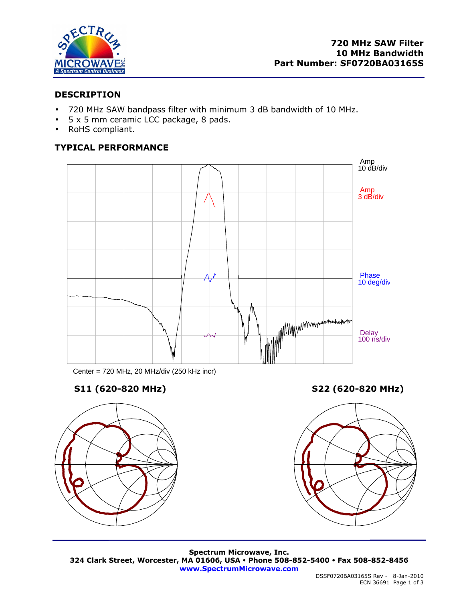

## **DESCRIPTION**

- 720 MHz SAW bandpass filter with minimum 3 dB bandwidth of 10 MHz.
- 5 x 5 mm ceramic LCC package, 8 pads.
- RoHS compliant.

# **TYPICAL PERFORMANCE**



Center = 720 MHz, 20 MHz/div (250 kHz incr)

# **S11 (620-820 MHz) S22 (620-820 MHz)**





**Spectrum Microwave, Inc. 324 Clark Street, Worcester, MA 01606, USA Phone 508-852-5400 Fax 508-852-8456 www.SpectrumMicrowave.com**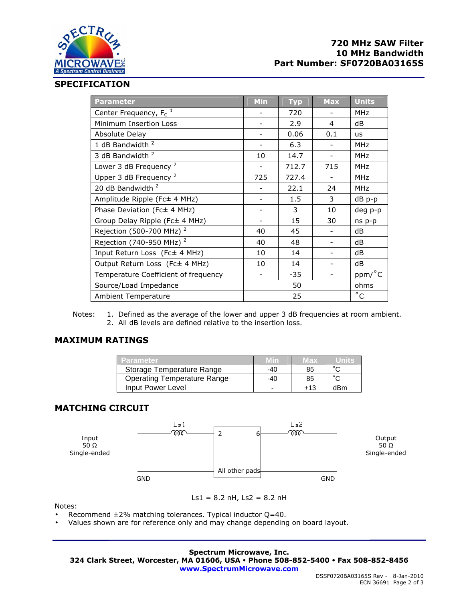

## **720 MHz SAW Filter 10 MHz Bandwidth Part Number: SF0720BA03165S**

#### **SPECIFICATION**

| <b>Parameter</b>                     | <b>Min</b> | <b>Typ</b> | <b>Max</b> | <b>Units</b>   |
|--------------------------------------|------------|------------|------------|----------------|
| Center Frequency, $F_c$ <sup>1</sup> |            | 720        |            | <b>MHz</b>     |
| Minimum Insertion Loss               |            | 2.9        | 4          | dB             |
| Absolute Delay                       |            | 0.06       | 0.1        | <b>us</b>      |
| 1 dB Bandwidth <sup>2</sup>          |            | 6.3        |            | <b>MHz</b>     |
| 3 dB Bandwidth <sup>2</sup>          | 10         | 14.7       |            | <b>MHz</b>     |
| Lower 3 dB Frequency <sup>2</sup>    |            | 712.7      | 715        | <b>MHz</b>     |
| Upper 3 dB Frequency <sup>2</sup>    | 725        | 727.4      |            | <b>MHz</b>     |
| 20 dB Bandwidth <sup>2</sup>         |            | 22.1       | 24         | <b>MHz</b>     |
| Amplitude Ripple (Fc± 4 MHz)         |            | 1.5        | 3          | dB p-p         |
| Phase Deviation (Fc± 4 MHz)          |            | 3          | 10         | deg p-p        |
| Group Delay Ripple (Fc± 4 MHz)       |            | 15         | 30         | ns p-p         |
| Rejection (500-700 MHz) <sup>2</sup> | 40         | 45         |            | dB             |
| Rejection (740-950 MHz) <sup>2</sup> | 40         | 48         |            | dB             |
| Input Return Loss (Fc± 4 MHz)        | 10         | 14         |            | dB             |
| Output Return Loss (Fc± 4 MHz)       | 10         | 14         |            | dB             |
| Temperature Coefficient of frequency |            | $-35$      |            | ppm/°C         |
| Source/Load Impedance                |            | 50         |            | ohms           |
| <b>Ambient Temperature</b>           |            | 25         |            | $\overline{c}$ |

Notes: 1. Defined as the average of the lower and upper 3 dB frequencies at room ambient. 2. All dB levels are defined relative to the insertion loss.

## **MAXIMUM RATINGS**

| <b>Parameter</b>                   |     | wax   | units  |
|------------------------------------|-----|-------|--------|
| Storage Temperature Range          | -40 | 85    | $\sim$ |
| <b>Operating Temperature Range</b> | -40 | 85    | $\sim$ |
| Input Power Level                  |     | $+13$ | dBm    |

## **MATCHING CIRCUIT**



Ls1 =  $8.2$  nH, Ls2 =  $8.2$  nH

Notes:

- Recommend  $\pm 2\%$  matching tolerances. Typical inductor Q=40.
- Values shown are for reference only and may change depending on board layout.